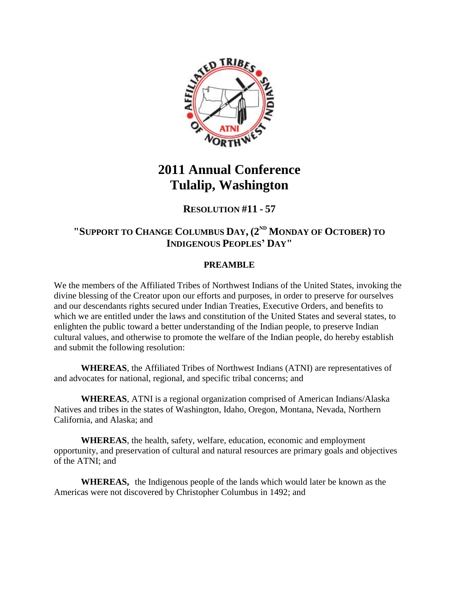

# **2011 Annual Conference Tulalip, Washington**

# **RESOLUTION #11 - 57**

# **"SUPPORT TO CHANGE COLUMBUS DAY, (2ND MONDAY OF OCTOBER) TO INDIGENOUS PEOPLES' DAY"**

### **PREAMBLE**

We the members of the Affiliated Tribes of Northwest Indians of the United States, invoking the divine blessing of the Creator upon our efforts and purposes, in order to preserve for ourselves and our descendants rights secured under Indian Treaties, Executive Orders, and benefits to which we are entitled under the laws and constitution of the United States and several states, to enlighten the public toward a better understanding of the Indian people, to preserve Indian cultural values, and otherwise to promote the welfare of the Indian people, do hereby establish and submit the following resolution:

**WHEREAS**, the Affiliated Tribes of Northwest Indians (ATNI) are representatives of and advocates for national, regional, and specific tribal concerns; and

**WHEREAS**, ATNI is a regional organization comprised of American Indians/Alaska Natives and tribes in the states of Washington, Idaho, Oregon, Montana, Nevada, Northern California, and Alaska; and

**WHEREAS**, the health, safety, welfare, education, economic and employment opportunity, and preservation of cultural and natural resources are primary goals and objectives of the ATNI; and

**WHEREAS,** the Indigenous people of the lands which would later be known as the Americas were not discovered by Christopher Columbus in 1492; and